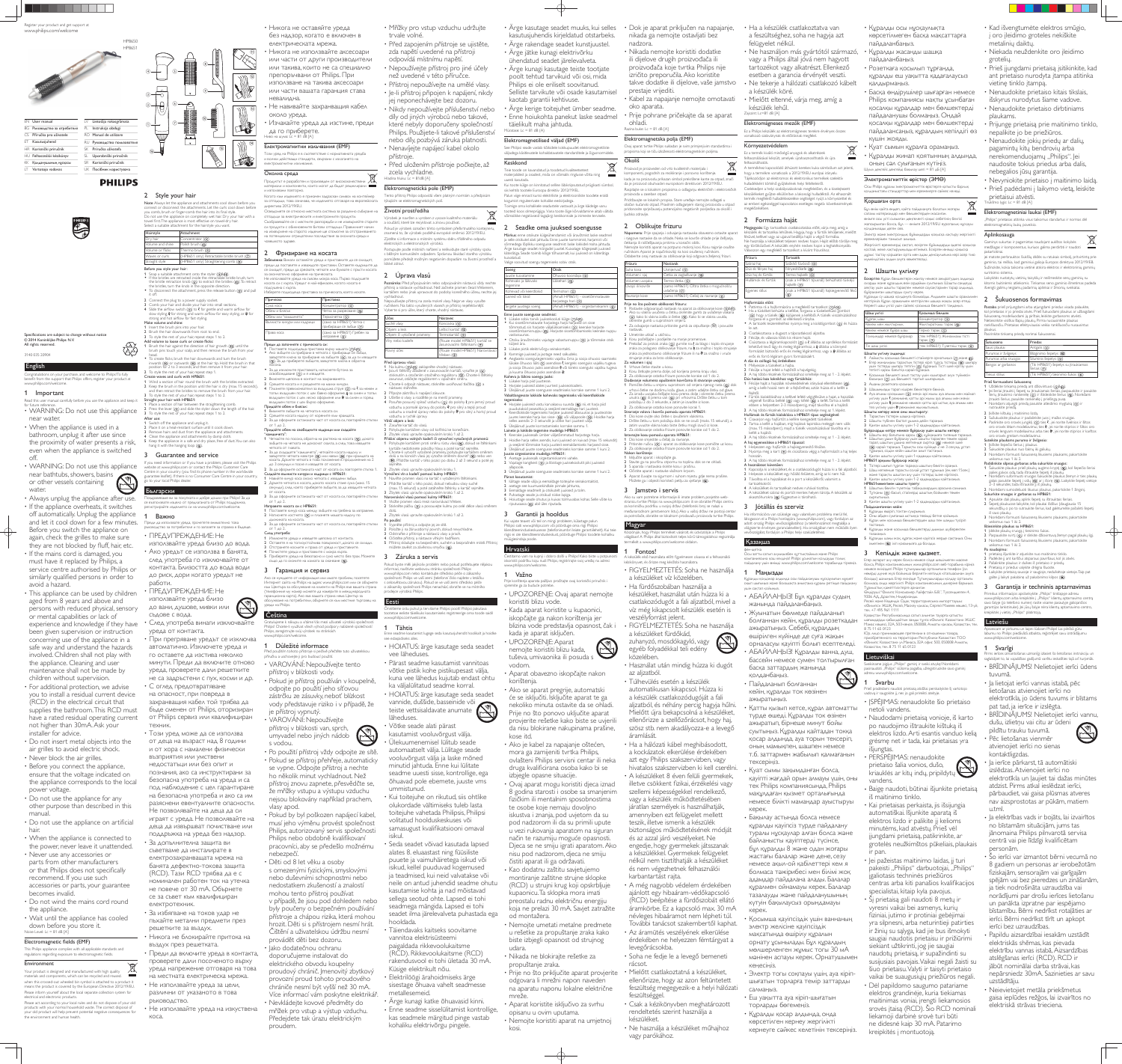www.philips.com/welcome. 1 Important

 $\odot$  2014 Koninkliike Philips N.V. All rights reserved. 3140 035 20904

Read this user manual carefully before you use the appliance and keep it

for future reference.

Always unplug the appliance after use. • If the appliance overheats, it switches off automatically. Unplug the appliance and let it cool down for a few minutes. Before you switch the appliance on again, check the grilles to make sure they are not blocked by fluff, hair, etc. • If the mains cord is damaged, you must have it replaced by Philips, a service centre authorised by Philips or similarly qualified persons in order to

WARNING: Do not use this appliance

near water.

Congratulations on your purchase, and welcome to Philips! To fully benefit from the support that Philips offers, register your product at

becifications are subiect to change without notice

When the appliance is used in a bathroom, unplug it after use since the proximity of water presents a risk, even when the appliance is switched

off.

water.

WARNING: Do not use this appliance

near bathtubs, showers, basins or other vessels containing

• This appliance can be used by children aged from 8 years and above and persons with reduced physical, sensory

• For additional protection, we advise you to install a residual current device (RCD) in the electrical circuit that supplies the bathroom. This RCD must have a rated residual operating current

• Before you connect the appliance, ensure that the voltage indicated on the appliance corresponds to the local

• Do not use the appliance for any other purpose than described in this

• Do not use the appliance on artificial

avoid a hazard.

• When the appliance is connected to the power, never leave it unattended.

or mental capabilities or lack of

This Philips appliance complies with all applicable standards and regulations regarding exposure to electromagnetic fields.

experience and knowledge if they have been given supervision or instruction concerning use of the appliance in a safe way and understand the hazards involved. Children shall not play with the appliance. Cleaning and user maintenance shall not be made by

children without supervision.

2 Style your hair Note: Always let the appliance and attachments cool down before you connect or disconnect the attachments. Let the curls cool down before ou comb, brush or finger-comb the hair into its final style. Do not use the appliance on completely wet hair. Dry your hair with a owel first. The appliance is most effective on towel-dry hair.

not higher than 30mA. Ask your

installer for advice.

Do not insert metal objects into the air grilles to avoid electric shock.

power voltage.

manual

hair.

• Never block the air grilles.

recommend. If you use such

accessories or parts, your guarantee

• Do not wind the mains cord round

• Wait until the appliance has cooled

becomes invalid.

the appliance.

Noise Level:  $Lc = 81$  dB  $\sqrt{4}$ 

electrical and electronic product

the environment and human health

down before you store it.

Electromagnetic fields (EMF)

• Never use any accessories or parts from other manufacturers or that Philips does not specifically

Environment

 $\overline{\phantom{0}}$ 

Your product is designed and manufactured with high quality materials and components, which can be recycled and reused. when this crossed-out wheeled bin symbol is attached to a product it means the product is covered by the European Directive 2012/19/EU. Please inform yourself about the local separate collection system for

If you need information or if you have a problem, please visit the Philips website at www.philips.com or contact the Philips Customer Care Dentre in your country (you find its phone number in the worldwide arantee leaflet). If there is no Consumer Care Centre in your country, go your local Philips dealer

lоздравяваме ви за покупката и добре дошли при Philips! За да е възползвате изцяло от предлаганата от Philips поддръжка регистрирайте изделието си на www.philips.com/welcome. Важно

Български

- Преди да използвате уреда, прочетете внимателно тов ∂ъководство за потребителя и го запазете за справка в бъдеще • ПРЕДУПРЕЖДЕНИЕ: Не
- използвайте уреда близо до вода. • Ако уредът се използва в банята, след употреба го изключвайте от контакта. Близостта до вода води до риск, дори когато уредът не работи.
- ПРЕДУПРЕЖДЕНИЕ: Не използвайте уреда близо до вани, душове, мивки или
- съдове с вода ∙ След употреба винаги изключвайте
- уреда от контакта. • При прегряване уредът се изключва автоматично. Изключете уреда и го оставете да изстива няколко минути. Преди да включите отново уреда, проверете дали решетките не са задръстени с пух, косми и др.  $\cdot$  С оглед предотвратяване на опасност, при повреда в захранващия кабел той трябва да

бъде сменен от Philips, оторизиран от Philips сервиз или квалифициран техник

- Този уред може да се използва от деца на възраст над 8 години и от хора с намалени физически ВЪЗПРИЯТИЯ ИЛИ УМСТВЕНИ недостатъци или без опит и познания, ако са инструктирани за безопасна употреба на уреда и са под наблюдение с цел гарантиране на безопасна употреба и ако са им разяснени евентуалните опасности. Не позволявайте на деца да си играят с уреда. Не позволявайте на деца да извършват почистване или поддръжка на уреда без надзор. • За допълнителна защита ви СЪВЕТВАМЕ ДА ИНСТАЛИРАТЕ В електрозахранващата мрежа на банята дефектно-токова защита (RCD). Тази RCD трябва да е с номинален работен ток на утечка не повече от 30 mA. Обърнете се за съвет към квалифициран електротехник. • За избягване на токов удар не
- пъхайте метални предмети през решетките за въздух
- Никога не блокирайте притока на въздух през решетката.
- Преди да включите уреда в контакта ПРОВЕРЕТЕ ДАЛИ ПОСОЧЕНОТО ВЪРХУ уреда напрежение отговаря на това на местната електрическа мрежа. • Не използвайте уреда за цели, различни от указаното в това
- ръководство.
- Не използвайте уреда на изкуствена коса.

• Никога не оставяйте уреда без надзор, когато е включен в електрическата мрежа.

 $\scriptstyle{(11)}$ 

(12)

 $\scriptstyle{(13)}$ 

- Никога не използвайте аксесоари или части от други производители или такива, които не са специално препоръчвани от Philips. При използване на такива аксесоари или части вашата гаранция става
- невалидна. Не навивайте захранващия кабел около уреда.
- Изчакайте уреда да изстине, преди да го приберете. во на шума: Lc = 81 dB [A]

# Електромагнитни изльчвания (ЕМF)

зи уред на Philips е в съответствие с нормативната уредба ь всички действащи стандарти, свързани с излагането на ЛА В ДА В ДА В НА В 1988 В ДА Околна среда

Продуктът е разработен и произведен от висококачествени материали и компоненти, които могат да бъдат рециклирани и използвани повторно.

Когато към излелието е прикачен залраскан символ на контейнер за отпадъци, това означава, че изделието отговаря на европейската býkajícím se elektromagnetických polí. **ДИДЕКТИВА** 2012/19/EL Осведомете се относно местната система за разделно събиране на ОТПАДЪЦИ ЗА ЕЛЕКТРИЧЕСКИТЕ И ЕЛЕКТРОННИТЕ ПРОДУКТИ.

Съобразявайте се с местните разпоредби и не изхвърдяйте старите си продукти с обикновените битови отпадъци. Правилният начин на изхвърляне на старото изделие ще спомогне за отстраняването .<br>а потенциални отрицателни последствия за околната среда и човешкото здраве

#### 2 Фризиране на косата Забележка: Винаги оставяйте уреда и приставките да се охладят,

преди да поставяте и изваждате приставки. Оставете къдриците да се охладят, преди да сресвате, четкате или бухвате с пръсти косата окончателно оформяне на прическата He variosaraŭte voeas ha cъвсем мокра коса Първо полсушете косата си с кърпа. Уредът е най-ефикасен когато косата е

Please act according to your local rules and do not dispose of your old products with your normal household waste. The correct disposal of your old product will help prevent potential negative consequences for

 $\sim 10^{-10}$ 

| Hairstyle                   | Attachment                                                                                                                           |
|-----------------------------|--------------------------------------------------------------------------------------------------------------------------------------|
| Dry hair                    | Concentrator (4)                                                                                                                     |
| Volume and shine            | Polish brush (10)                                                                                                                    |
| Volume or flicks            | Thermo brush $(\mathcal{S})$                                                                                                         |
| Waves or curls              | (HP8651 only) Retractable bristle brush (7)                                                                                          |
| Straight style              | (HP8651 only) Straightening comb (®)                                                                                                 |
| Before you style your hair: | 1 Snap a suitable attachment onto the styler (1)&(1)).<br>• If the bristles are retracted inside the retractable bristle brush, turn |

- the bristle retraction knob  $(6)$  to extract the bristles  $(6)$ . To retract the bristles, turn the knob in the opposite direction.  $\bullet$  To disconnect the attachment, press the release button  $\circled$  and pull it off. 2 Connect the plug to a power supply socket.
- **3** Comb your hair and divide your hair into small sections. 4 Slide the airflow switch ( $\Omega$ ) to  $\zeta$  for gentle and warm airflow for slow styling,  $\ell$  for strong and warm airflow for easy styling, or  $\ell\llap{\ell}$  for strong and hot airflow for fast styling. Make volume and shine:
- Insert the brush pins into your hair 2 Brush the hair downwards from root to end.
- 3 To style the rest of your hair, repeat steps 1 to 2. Add volume to loose curls or create flicks: Brush the hair against the direction of hair growth  $( 0 )$  until the
- brush pins touch your scalp, and then remove the brush from your head. The additional means the state of the hair downwards and turn the brush inwards (⑬) or outwards (⑭) at the hair tip. Hold the brush in that<br>position for 2 to 3 seconds, and then remove it from your hair.
- To style the rest of your hair, repeat step 1. Create waves and curls with  $HPS651$ : 1 Wind a section of hair round the brush with the bristles extracted. 2 Keep the brush in the position until the hair is dry (max. 15 seconds),
- and then retract the bristles to remove the brush from your hair. 3 To style the rest of your hair, repeat steps 1 to 2. Straight your hair with HP8651: e a section of hair between the straightening comb.
- Press the lever  $(9)$  and slide the styler down the length of the hair. To style the rest of your hair, repeat steps 1 to 2. After use:
- Switch off the appliance and unplug it. Place it on a heat-resistant surface until it cools down. Remove hairs and dust from the appliance and attachments.
- 4 Clean the appliance and attachments by damp cloth. 5 Keep the appliance in a safe and dry place, free of dust. You can also hang it with the hanging loop (6).
- 3 Guarantee and service

#### hilips! Chcete-li využívat všech výhod podpory nabízené společností <sup>2</sup>hilips, zaregistrujte svůj výrobek na stránkách www.philips.com/welcome.

ijeme k nákupu a vítáme Vás mezi uživateli výrobků s

Důležité informace I použitím tohoto přístroje si pečlivě přečtěte tuto uživatelsko

Čeština

- příručku a uschovejte ji pro budoucí použití. • VAROVÁNÍ: Nepoužívejte tento přístroj v blízkosti vody.
- Pokud je přístroj používán v koupelně, odpojte po použití jeho síťovou zástrčku ze zásuvky, neboť blízkost vody představuje riziko i v případě, že je přístroj vypnutý.
- VAROVÁNÍ: Nepoužívejte přístroj v blízkosti van, sprch, umyvadel nebo jiných nádob
- s vodou. • Po použití přístroj vždy odpojte ze sítě. • Pokud se přístroj přehřeje, automaticky se vypne. Odpojte přístroj a nechte ho několik minut vychladnout. Než přístroj znovu zapnete, přesvědčte se, že mřížky vstupu a výstupu vzduchu
- nejsou blokovány například prachem, vlasy apod.  $\cdot$  Pokud by byl poškozen napájecí kabel musí jeho výměnu provést společnost Philips, autorizovaný servis společnosti
- Philips nebo obdobně kvalifikovaní pracovníci, aby se předešlo možnému nebezpečí. · Děti od 8 let věku a osoby
- s omezenými fyzickými, smyslovými nebo duševními schopnostmi nebo nedostatkem zkušeností a znalostí mohou tento přístroj používat v případě, že jsou pod dohledem nebo byly poučeny o bezpečném používání přístroje a chápou rizika, která mohou hrozit. Děti si s přístrojem nesmí hrát. Čištění a uživatelskou údržbu nesmí provádět děti bez dozoru.
- Jako dodatečnou ochranu doporučujeme instalovat do elektrického obvodu koupelny proudový chránič. Jmenovitý zbytkový provozní proud tohoto proudového chrániče nesmí být vyšší než 30 mA. Více informací vám poskytne elektrikář. • Nevkládejte kovové předměty do mřížek pro vstup a výstup vzduchu. Předejdete tak úrazu elektrickým

#### Õnnitleme ostu puhul ja tervitame Philipsi poolt! Philipsi pakutava ootetoe eeliste täielikuks kasutamiseks registreerige oma toode saidil philips.com/welcome

### **Tähtis** Enne seadme kasutamist lugege seda kasutusjuhendit hoolikalt ja hoidke

| Прическа                    | Приставка                                          |
|-----------------------------|----------------------------------------------------|
| Суха коса                   | Концентратор (4)                                   |
| Обем и блясък               | Четка за разресване (@)                            |
| Обем или "камшичета"        | Термочетка (5)                                     |
| Вълнисти кичури или къдрици | (само за НР8651) Четка с<br>прибиращи се зъбци (7) |
| Права коса                  | (само за НР8651) Гребен за<br>изправяне (®)        |

- Преди да започнете с прическата си: Поставете полхоляща приставка върху мащата (О&Ф) <del>ം стать откруда в пристание търму нашата (⊙е⊙у.</del><br>ко зъбците са прибрани в четката с прибиращи се зъбци завъртете ключа за прибиране на зъбците ((6), за да ги извадите (65). За да приберете зъбците, завъртете ключа в обратна
- посока. • За да изключите приставката, натиснете бутона за<br>освобождаване (③) и я извадете. Включете щепсела в контакт на захранването
- Срешете косата и я разделете на малки кичурі  $\Box$ Лъзнете превключвателя за въздушна струя ( $(2)$ ) на  $\ell$  за нежен и топъл въздушен поток с цел бавно оформяне,  $\ell$  за силен и топъл въздушен поток с цел лесно оформяне или @ за силен и горещ въздушен поток с цел бързо оформяне. Придайте обем и блясък:
- .<br>1 кнете зъбците на четката в косата си. 2 Срешете косата надолу от корените към краишата.
- 3 За да оформите останалата част от косата си, повтаряйте стъпки ⊙⊤ 1 до 2.<br>**Придайте обем на свободните къдрици или създайте**
- "камшичета": Четкайте по посока, обратна на растежа на косата (@), докато
- зъбците на четката не докоснат скалпа, а след това извадете четката от главата.<br>За да създадете "камшичета", четкайте косата надолу и у, солтания въртете четката навътре (@) или навън (@) при краищата на косата. Дръжте четката в това положение в продължение на 2
- до 3 секунди и после я извадете от косата. За да оформите останалата част от косата си, повъ Създайте вълнисти кичури и къдрици с HP8651: —<br>Навийте кичур коса около четката с извадени зъбци
- Дръжте четката в косата, докато косата стане суха (макс. 15 екунди), след което приберете зъбците, за да извадите четката: от косата. За да оформите останалата част от косата си, повтаряйте стъпки
- OT 1 AO 2 <mark>Изправете косата си с HP8651:</mark> Поставете кичур коса между зъбците на гребена за изправяне
- Натиснете лостчето \ължината на косата 3 За да оформите останалата част от косата си, повтаряйте стъпки αΣ 1 ∧o
- След употреба: ючете уреда и изведете щепсела от контакт<mark>а</mark>. Оставете я на топлоустойчива повърхност, докато се охлади
- Этстранете космите и праха от уреда и приставките. 4 Почистете уреда и приставките с мокра кърпа Приберете уреда на безопасно и сухо място без прах. Можете СЪЩО ДА ГО ОКАЧИТЕ НА ХАЛКАТА ЗА ОКАЧВАНЕ (16)

## Гаранция и сервиз

<u>Ако се нуждаете от информация или имате проблем, посетете</u> Интернет сайта на Philips на алрес www.philips.com или се обърнете към Центъра за обслужване на клиенти на Philips във вашата страна .<br>Вариарные му номер можете да намерите в международната анционна карта). Ако във вашата страна няма Център за бслужване на потребители, обърнете се към местния търговец на еди на Philip

## väljadega käsitlevatele kohaldatavatele standarditele ja õigusnormidele. Keskkond

Märkus: enne otsikute külgeühendamist või äravõtmist laske seadmel ja selle otsikutel alati jahtuda. Enne juuste kammimist, harjamist või irmedega lõplikku soengusse seadmist laske lokkidel maha jahtuda. Ärge kasutage seadet märgadel juustel. Kuivatage kõigepealt juuksed käterätiga. Seade toimib kõige tõhusamalt, kui juuksed on käterätiga Valige soovitud soengu tegemiseks sobiv otsik.

- Kui vajate teavet või teil on mingi probleem, külastage palu Philipsi saiti www.philips.com või pöörduge oma riigi Philipsi .<br>eskusesse (telefoninumbri leiate garantiilehelt). Kui teie riigis ei ole klienditeeninduskeskust, pöörduge Philipsi toodete kohaliku
- müügiesindaja poole. Hrvatski Čestitamo vam na kupnji i dobro došli u Philips! Kako biste u potpunosti
- skoristili podršku koju nudi Philips, registrirajte svoj uređaj na adresi www.philips.com/welcome. Važno Prije korištenja aparata pažljivo pročitajte ovaj korisnički priručnik
- spremite ga za buduće potrebe UPOZORENJE: Ovaj aparat nemojte koristiti blizu vode.
- Kada aparat koristite u kupaonici, iskopčajte ga nakon korištenja jer blizina vode predstavlja opasnost, čak i
- kada je aparat isključen. UPOZORENJE: Aparat nemojte koristiti blizu kada,
- tuševa, umivaonika ili posuda s vodom. • Aparat obavezno iskopčajte nakon
- korištenja. Ako se aparat pregrije, automatski

## će se isključiti. Isključite aparat te ga nekoliko minuta ostavite da se ohladi. Prije no što ponovo uključite aparat provjerite rešetke kako biste se uvjerili da nisu blokirane nakupinama prašine, kose itd.

- Ako je kabel za napajanje oštećen, mora ga zamijeniti tvrtka Philips, ovlašteni Philips servisni centar ili neka druga kvalificirana osoba kako bi se izbjegle opasne situacije.
- Ovaj aparat mogu koristiti djeca iznad 8 godina starosti i osobe sa smanjenim fizičkim ili mentalnim sposobnostima te osobe koje nemaju dovoljno
- iskustva i znanja, pod uvjetom da su pod nadzorom ili da su primili upute u vezi rukovanja aparatom na siguran način te razumiju moguće opasnosti. Djeca se ne smiju igrati aparatom. Ako nisu pod nadzorom, djeca ne smiju
- čistiti aparat ili ga održavati.  $\cdot$  Kao dodatnu zaštitu savjetujemo montiranje zaštitne strujne sklopke (RCD) u strujni krug koji opskrbljuje kupaonicu. Ta sklopka mora imati preostalu radnu električnu energiju koja ne prelazi 30 mA. Savjet zatražite
- od montažera. Nemojte umetati metalne predmete u rešetke za propuštanje zraka kako biste izbjegli opasnost od strujnog
- udara. • Nikada ne blokirajte rešetke za
- propuštanje zraka.
- Prije no što priključite aparat provjerite odgovara li mrežni napon naveden na aparatu naponu lokalne električne mreže.
- $\cdot$  Aparat koristite isključivo za svrhu opisanu u ovim uputama. Nemojte koristiti aparat na umjetnoj kosi.

 $\frac{1}{\sqrt{2}}$ 

- Dok je aparat priključen na napajanje, nikada ga nemojte ostavljati bez nadzora.
- Nikada nemojte koristiti dodatke ili dijelove drugih proizvođača ili proizvođača koje tvrtka Philips nije izričito preporučila. Ako koristite takve dodatke ili dijelove, vaše jamstvo prestaje vrijediti.
- Kabel za napajanje nemojte omotavati oko aparata.
- Prije pohrane pričekajte da se aparat ohladi. Razina buke: Lc = 81 dB [A]

## Elektromagnetska polja (EMF) Ovaj aparat tvrtke Philips sukladan je svim primjenjivim standardima i isima koji se tiču izloženosti elektromagnetskim poljima.

Okoliš  $\forall$ Proizvod je proizveden od vrlo kvalitetnih materijala i komponenti, pogodnih za recikliranje i ponovno korištenje.  $\sim 10^{-1}$ kada je na proizvodu prikazan simbol prekrižene kante za otpad. znači da je proizvod obuhvaćen europskom direktivom 2012/19/EU Raspitajte se o lokalnim propisima o odlaganju električnih i elektroničkih proizvoda u zaseban otpad. Pridržavajte se lokalnih propisa. Stare uređaje nemojte odlagati u RELÁDA DE ELÉRCIÓN POLÍTICO DE ELÉRCIA DE ELÉRCIA DE ELÉRCIA DE ELÉRCIA DE ODIZIO DE ODIZIO DE ODIZIO DE ODIZI pridonosite sprječavanju potencijalno negativnih posljedica za okoliš i

# Oblikujte frizuru

Napomena: Prije spajanja i odvajanja nastavaka obavezno ostavite aparat ijegove nastavke da se ohlade. Neka se kovrče ohlade prije češljanja, četkanja ili raščešljavanja prstima u konačni oblik Nemojte koristiti aparat na potpuno mokroj kosi. Kosu najprije osušite učnikom Aparat je najučinkovitiji na kosi osušenoj ručnikor Odaberite onai nastavak za oblikovanie koji odgovara želienoi frizur

proudem.

- Mřížky pro vstup vzduchu udržujte trvale volné.
- Před zapojením přístroje se ujistěte, zda napětí uvedené na přístroji odpovídá místnímu napětí.
- Nepoužívejte přístroj pro jiné účely než uvedené v této příručce.
- Přístroj nepoužívejte na umělé vlasy. · Je-li přístroj připojen k napájení, nikdy jej neponechávejte bez dozoru.
- Nikdy nepoužívejte příslušenství nebo díly od jiných výrobců nebo takové, které nebyly doporučeny společností Philips. Použijete-li takové příslušenství nebo díly, pozbývá záruka platnosti.
- Nenavíjejte napájecí kabel okolo přístroje. · Před uložením přístroje počkejte, až
- zcela vychladne. Hladina hluku: Lc = 81dB [A]

Elektromagnetická pole (EMP)

Tento přístroj Philips odpovídá všem platným normám a předpisům Životní prostředíha Výrobek je navržen a vyroben z vysoce kvalitního materiálu a součástí, které lze recyklovat a znovu používat. Pokud je výrobek označen tímto symbolem přeškrtnutého kontejneru, znamená to že výrobek podlébá evropské směrnici 2012/19/FU Zijstěte si informace o místním systému sběru tříděného odpadu elektrických a elektronických výrobků. Postupuite podle místních nařízení a nelikviduite staré výrobky spolu

### s běžným komunálním odpadem. Správnou likvidací starého výrobku shomůžete předejít možným negativním dopadům na životní prostředí a lidské zdraví

2 Uprava vlasů Poznámka: Před připojováním nebo odpojováním nástavců vždy nechte přístroj a nástavce vychladnout. Než začnete pramen česat hřebenem, kartáčem nebo jinak upravovat do podoby konečného účesu, nechte jej vychladnout. Nepoužívejte přístroj na zcela mokré vlasy. Nejprve vlasy vysušte ručníkem Na takto vysušených vlasech je př

#### strujanje zraka za brzo oblikovanje. Za volumen i sjaj: Vrhove četke stavite u kosu

- Kosu četkajte prema dolje, od korijena prema kraju vlasi. 3 Za oblikovanje ostatka frizure ponovite korake od 1 do 2. Dodavanje volumena opuštenim kovrčama ili stvaranje uvojaka
- 1 Pomičite četku u smjeru suprotnom od smjera njenog rasta (@) dok<br>vrhovi četke ne dodirnu kožu glave, a zatim udaljite četku od glave. vrhovi četke ne dodirnu kožu glave, a zatim udaljite četku od glave.<br>• Za izradu uvojaka češljajte kosu prema dolje i okrenite četku prema<br>unutra (@) ili prema van (@) pri vrhovima. Držite četku u tom
- položaju 2 do 3 sekunde, a zatim je izvadite iz kose. 2 Za oblikovanje ostatka kose ponovite korak 1.
- Stvaranje valova i kovrča pomoću aparata HP8651: Dio kose ovijte oko četke s izvučenim vlaknima
- 2 Držite četku u tom položaju dok se ne osuši (maks. 15 sekundi), a .<br>Itim uvucite vlakna kako biste četku mogli izvući iz kose 3 Za oblikovanje ostatka frizure ponovite korake od 1 do 2
- Izravnaite kosu pomoću aparata HP8651: Dio kose smjestite u češalj za ravnanje.
- $P$ ritisnite ručicu  $(Q)$ ) i aparat za oblikovanje kose pomičite uz kosu. 3 Za oblikovanie ostatka frizure ponovite korake od 1 do 2. .<br>Nakon korištenja:
- I sključite aparat i iskopčajte ga. 2 Stavite ga na površinu otpornu na toplinu dok se ne obladi S aparata i nastavaka skinite kosu i prašinu.
- 4 Očistite aparat i nastavke vlažnom krpom 5 Aparat čuvajte na sigurnom i suhom mjestu gdje nema prašine. Možete ga i objesiti koristeći petlju za vješanje (66).

| Účes                      | Nástavec                                                        |
|---------------------------|-----------------------------------------------------------------|
| Suché vlasy               | Koncovka (4)                                                    |
| Objem a lesk              | Lešticí kartáč (10)                                             |
| Objem či vytočené prameny | Termokartáč ((5))                                               |
| Vlny nebo kadeře          | (Pouze model HP8651) kartáč se<br>zasunovacími štětinkami ((7)) |
| Rovný účes                | (Pouze model HP8651) Narovnávací<br>hřeben $(3)$                |

Na kulmu (1)&(1) zaklapněte vhodný nástavec. • |sou-li štětinky zatažené v zasunovacím kartáči, vysuňte je (6) stisknutím a otočením otočného regulátoru (®). Chcete-li štětinky<br>zasunout, otáčejte regulátorem v opačném směru. · Chcete-li odpojit nástavec, stiskněte uvolňovací tlačítka (3) a nástavec stáhněte. . Připojte zástrčku k napájecí zásuvce

Učešte si vlasy a rozdělte je na menší prameny. 4 Posuňte posuvný spínač vzduchu  $(2)$  do polohy  $\ell$  pro jemný proud<br>vzduchu a pomalé úpravy, do polohy  $\ell$  pro silný a teplý proud vzduchu a snadné úpravy nebo do polohy @ pro silný a horký proud vzduchu a rychlé úpravy. Větší objem a lesk:

Zasuňte kartáč do vlasů Pohybujte kartáčem vlasy od kořínků ke konečkům.

Zbytek vlasů upravíte opakováním kroků 1 až 2. Přidání objemu volných kadeří či vytvoření vytočených pramenů

1 1 aun. cojena 1 oranyan vaden en 1 yeven en 1 yester, al Pohybujte kartáčem proti směru růstu vlasů(®), dokud se štětinkami kartáče nedotknete pokožky hlavy, a poté kartáč sejměte. kartáče nedotknete pokožky hlavy, a poté kartáč sejměte.<br>• Chcete-Ii vytvořit vytočené prameny, pohybujte kartáčem směrem<br>dolů a na koncích vlasů jej vytočte směrem dovnitř (⑩) nebo ven<br>(⑭). Pňdržte kartáč v této pozici po sejměte.

Zbytek vlasů upravíte opakováním kroku 1 Vytváření vln a kadeří pomocí kulmy HP8651:

Naviňte pramen vlasů na kartáč s vytaženými štětinkami 2 2 3 Břidržte kartáč v této pozici, dokud nebudou vlasy suché (max. 15 sekund) a poté zatáhněte štětinky a kartáč seiměte Zbytek vlasů upravíte opakováním kroků 1 až 2.

Narovnávání vlasů pomocí kulmy HP8651: 1 Vložte pramen vlasů mezi narovnávací hřeben 2 Stiskněte páčku (9)) a posouvejte kulmu po celé délce vlasů směrem

dolů. 3 Zbytek vlasů upravíte opakováním kroků 1 až 2. Po použití:

Vypněte přístroj a odpojte jej ze sítě Položte ji na žáruvzdorný povrch, dokud nevychladní Odstraňte z přístroje a nástavců vlasy a prach Očistěte přístroj a nástavce vlhkým hadříkem

5 Přístroi skladuite na bezpečném, suchém a bezprašném místě. Přístro můžete zavěsit za závěsnou smyčku ((6)

3 Záruka a servis okud byste měli jakýkoliv problém nebo pokud potřebujete nějakou

nformaci, navštivte webovou stránku společnosti Philips zww.philips.com nebo kontaktujte středisko péče o zákazník společnosti Philips ve vaší zemi (telefonní číslo najdete v letáčk celosvětovou zárukou). Pokud se ve vaší zemi středisko péče o zákazníky společnosti Philips nenachází. obraťte se na místního Srodejce výrobků Philip

Eesti

- see edaspidiseks alles. HOIATUS: ärge kasutage seda seadet vee läheduses.
- Pärast seadme kasutamist vannitoas võtke pistik kohe pistikupesast välja, kuna vee lähedus kujutab endast ohtu ka väljalülitatud seadme korral.
- HOIATUS: ärge kasutage seda seadet vannide, duššide, basseinide või teiste vettsisaldavate anumate
- läheduses. Võtke seade alati pärast

• Kui toitejuhe on rikutud, siis ohtlike olukordade vältimiseks tuleb lasta toitejuhe vahetada Philipsis, Philipsi volitatud hoolduskeskuses või samasugust kvalifikatsiooni omaval

kasutamist vooluvõrgust välja. Ülekuumenemisel lülitub seade automaatselt välja. Lülitage seade vooluvõrgust välja ja laske mõned minutid jahtuda. Enne kui lülitate seadme uuesti sisse, kontrollige, ega õhuavad pole ebemete, juuste vms

ummistunud.

isikul.

 Seda seadet võivad kasutada lapsed alates 8. eluaastast ning füüsiliste puuete ja vaimuhäiretega isikud või isikud, kellel puuduvad kogemused ja teadmised, kui neid valvatakse või neile on antud juhendid seadme ohutu kasutamise kohta ja nad mõistavad sellega seotud ohte. Lapsed ei tohi seadmega mängida. Lapsed ei tohi seadet ilma järelevalveta puhastada ega

hooldada.

Täiendavaks kaitseks soovitame

vannitoa elektrisüsteemi paigaldada rikkevoolukaitsme (RCD). Rikkevoolukaitsme (RCD) rakendusvool ei tohi ületada 30 mA.

Küsige elektrikult nõu.

Elektrilöögi ärahoidmiseks ärge sisestage õhuava vahelt seadmesse

metallesemeid.

Ärge kunagi katke õhuavasid kinni. Enne seadme sisselülitamist kontrollige, kas seadmele märgitud pinge vastab

kohaliku elektrivõrgu pingele.

Ша<mark>шты үлгілеу алдында:</mark><br>1 Лайықты қосымша бөлшекті стайлерге орнатыңыз (① және ⑪). <sup>1</sup>ǘǭǶȈʘǿȈʘǻǾȈǹȅǭǮʥǸȅDzǷǿȒǾǿǭǶǸDzǽǰDzǻǽǺǭǿȈʚȈǴ dzʣǺDz ). ǒǰDzǽdzǵǺǭǸǹǭǸȈǿǭǽǭʘǿȈʚǿȒǾǿDzǽȒǷȒǽȒǼǿʞǽǾǭǿȒǾǿDzǽDZȒ ȅȈʖǭǽȀ ʜȅȒǺǿȒǾǿDzǽDZȒȅȈʖǭǽȀǿDzǿȒǰȒǺ ǮʞǽǭʚȈǴǟȒǾǿȒȒȅǷDzǷȒǽǰȒǴȀʜȅȒǺ

• Қосымша бөлшекті алып тастау үшін «шығарып алу» түймесін<br>басыңыз (③) да, бөлшекті тартып шығарыңыз.

4 Ауа ағымы қосқышын (@)) жеңіл әрі жылы ауа ағымы мен жайлаг  $\gamma$ лгілеу үшін  $\ell$  режиміне, қатты әрі жылы ауа ағымы мен жеңіл тілеу үшін  $\ell$ режиміне немесе қатты әрі ыстық ауа ағымы мен

—… …… рд. ==…....ру толл.... <sub>(⊙у</sub> =<sub>≠p</sub>....<br>етікті қарсы бағытқа қарай бұраңыз.

тез улгілеу үшін @ режиміне жылжытыныз Шашты көтеру және оны жылтырату: Тарақтың тістерін шашқа кіргізін Шашты түбінен бастап ұшына дейін тараңыз. 3 Қалған шашты үлгілеу үшін 1-2 қадамдарды қайталаңыз Бұйраларды кетіру немесе бұйралау үшін шашты көтеру: 1 Шаштың ұшын бұйралау үшін шашты тарақпен төмен қараңыз.<br>● Шаштың ұшын бұйралау үшін шашты тарақпен төмен қарай арап шаштын ушына жеткенде сыртка (ആ) немесе ішке (@) қарай тараңыз. Тарықты осы күйінде 2 не 3 секунд ұстап<br>тұрыңыз, содан кейін шаштан алып тастаңыз.

2 Калған шашты үлгілеу үшін 1-қадамды қайталаңы:

.<br>1 Гістері шығып тұрған тараққа шаштың бөлігін ораныз .<br>2 Шаш кепкенше тарақты солай ұстап тұрыңыз (ең көп 15сек.) және тарақты шаштан алу үшін тістерді ішіне кіргізіңіз **3** Қалған шашты үлгілеу үшін 1-2 қадамдарды қайталаңыз.

.<br>1 Цаштың бөлігін түзеткіш табақшалардың арасына салыңыз 2 Тұтқаны (⊙) басып, стайлерді шаштың бойымен төмі

3 Қалған шашты үлгілеу үшін 1-2 қадамдарды қайталаңыз

2 Оны әбден суығанша ыстыққа төзімді бетке қойыңыз 3 Иурал мен косымша бөлшектерлен шаш пен шанлы түсірі

нен (@) іліп қоюыңызға да боладь Кепілдік және қызмет. Eren akrianat a<u>ay kenek болса немесе сізле шешілмеген мәселе</u> болса, Philips компаниясының www.philips.com веб-торабына кіріні: месе елініздегі Philips тұтынушылар орталығына телефон (ол юмірлі л∨ние жүзі бойынша берілетін кепілдік кітапшасынан алуға .<br>¤Олады) шалыныз. Егер елінізде Түтынушыларды колдау орталығы аса, онда жергілікті Philips компаниясының дилеріне барыңы:

4 Кұралды және қосымша бөлшектерді дымқыл шүберекпе

Кұралды шаңы жоқ, құрғақ және қауіпсіз жерде сақтаңыз. Оны

діруші: "Филипс Консьюмер Лайфстайл Б.В.", Туссендиепен <sup>4</sup>

.<br>нного на территории Республики Казахстан: ТОО "ристет.<br>«Филипс Казахстан» vл. Манаса. 32А офис 503, 050008 Алматы.

Ресей және Келенлік Олак территориясына импорттауш «Филипс» ЖШҚ, Ресей, Мәскеу қаласы, Сергей Макеев көшесі, 13-үі

Казакстан Республикасында сатып алынған тауарға қатысты шағымдарды қабылдайтын заңды тұлға: «Филипс Казахстан» ЖШС ₩ аняс көшесі. 32А. 503-кенсе. 050008. Алматы қаласы, Қазақстан

Юр, лицо принимающее претензии в отношении товара

ikiname įsigijus "Philips" gaminį ir sveiki atvykę! Norėdam pasinaudoti "Philips" siūloma pagalba, užregistruokite savo gamin

Prieš pradėdami naudoti prietaisa atidžiai perskaitykite šį vartotojo

• ISPEIIMAS: nenaudokite šio prietaiso

• Naudodami prietaisą vonioje, iš karto po naudojimo ištraukite kištuka iš elektros lizdo. Arti esantis vanduo kelią grėsmę net ir tada, kai prietaisas yra

 $\cdot$  Baigę naudoti, būtinai išjunkite prietaisą

Kai prietaisas perkaista, jis išsijungia automatiškai. Išjunkite aparatą iš elektros lizdo ir palikite jį kelioms minutėms, kad atvėstų. Prieš vėl jjungdami prietaisą, patikrinkite, ar grotelės neužkimštos pūkeliais, plaukais

- Jei pažeistas maitinimo laidas, jį turi pakeisti "Philips" darbuotojai, "Philips"

centras arba kiti panašios kvalifikacijos

igaliotasis techninės priežiūros

- Ärge kasutage seadet muuks, kui selles kasutusjuhendis kirjeldatud otstarbeks. Ärge rakendage seadet kunstjuustel. Ärge jätke kunagi elektrivõrku
- ühendatud seadet järelevalveta. Ärge kunagi kasutage teiste tootjate poolt tehtud tarvikuid või osi, mida
- Philips ei ole eriliselt soovitanud. Selliste tarvikute või osade kasutamisel kaotab garantii kehtivuse.
- Ärge kerige toitejuhet ümber seadme. Enne hoiukohta panekut laske seadmel täielikult maha jahtuda.
- Müratase: Lc =  $81$  dB (A) Elektromagnetilised väljad (EMF) See Philipsi seade vastab kõikidele kokkupuudet elektromagnetiliste

- Teie toode on kavandatud ja toodetud kvaliteetsetest materjalidest ja osadest, mida on võimalik ringlusse võtta ning  $\sim 10^{-10}$ uuesti kasutada. Kui toote külge on kinnitatud selline läbikriipsutatud prügikasti sümbol,
- siis kehtib tootele Euroopa direktiiv 2012/19/EL. Palun viige ennast kurssi elektriliste ja elektrooniliste toodete eraldi
- kogumist reguleerivate kohalike eeskirjadega. Toimige oma kohalikele seadustele vastavalt ja ärge käidelge vanu tooteid koos olmeprügiga. Vana toote õige kõrvaldamine aitab vältida võimalikke negatiivseid tagajärgi keskkonnale ja inimeste tervisele.

# 2 Seadke oma juuksed soengusse

kuivatatud.

Soeng

- Otsiku äravõtmiseks vajutage vabastusnuppu (3) ja tõmmake otsik küljest ära.
- 2 Lükake pistik elektrivõrgu seinakontakti. 3 Kammige juuksed ja jaotage need salkudeks.
- 4 Aeglaseks soengutegemiseks vajaliku õrna ja sooja ohuvoo saamiseks lükake õhuvoo lüliti  $\tilde{Q}$ ) asendisse  $\lambda$ , kergeks soenguks vajaliku tugeva ia sooja õhuvoo jaoks asendisse ? või kiireks soenguks vajaliku tugeva ja kuuma õhuvoo jaoks asendisse  $\ell$ Koheva ja läikiva soengu jaoks:
- 1 Lükake haria piid juustesse Harjake juukseid alates juurtest juukseotsadeni. 3 Ülejäänud juuste soengusse seadmiseks korrake samme 1 kuni 2.
- Vabaltlangevate lokkide kohevaks tegemiseks või keerdlokkide tegemiseks:  $4\;$  Harjake juukseid vastu karvakasvu suunda  $(\textcircled{\scriptsize{1}})$  nii, et harja piid
- puudutaksid peanahka ja seejärel eemaldage hari juustest.<br>• Keerdlokkide tegemiseks harjake juukseid allasuunas ja juusteotste<br>juures keerake harja kas sisse- (@) või väljapoole (@). Hoidke harja selles asendis 2–3 sekundit ja võtke hari juustest välja. Ülejäänud juuste korrastamiseks korrake sammu 1.
- Lainete ja lokkide tegemine mudeliga HP8651: ake juuksesalk ümber väljatõmmatud harjastega harja
- 2 Hoidke harja selles asendis, kuni juuksed on kuivad (max 15 sekundit) ja seejärel tõmmake harja juustest eemaldamiseks harjased sisse. 3 Ülejäänud juuste soengusse seadmiseks korrake samme 1 kuni 2. luuste sirgestamine mudeliga HP8651:
- 1 Asetage juuksesalk sirgestamiskammi vahele. Vajutage kangikest (1) ja libistage juuksekoolutit piki juukseid allapoole. 3 Ülejäänud juuste soengusse seadmiseks korrake samme 1 kuni 2.
- Pärast kasutamist 1 lülitage seade välja ja eemaldage toitejuhe seinakontaktist 2 asetage see kuumusekindlale pinnale jahtuma, emaldage seadmelt ja otsikutelt juuksed ja tolm.
- 4 Puhastage seade ja otsikud niiske lapiga. 5 Hoiustage seade ohutus ja kuivas tolmuvabas kohas. Selle võite ka riputusaasa (16) abil üles riputada.

# Garantii ja hooldus

| alige soovitud soengu tegemiseks sobiv otsik. |                                                           |
|-----------------------------------------------|-----------------------------------------------------------|
| Soeng                                         | Otsik                                                     |
| Juuste kuivatamine                            | Öhuvoo koondaja (4)                                       |
| Kohevaks ja läikivaks<br>tegemine             | Läikehari (10)                                            |
| Kohevad või keerdlokid                        | Termohari (G)                                             |
| Lained või lokid                              | (Ainult HP8651) - sissetõmmatavate<br>harjastega hari (7) |
| Sirgete juustega soeng                        | (Ainult HP8651) - sirgestamiskamm (                       |
|                                               |                                                           |

# Enne juuste soengusse seadmist:<br>1 Lükake sobiv tarvik juuksekooluti külge (1861). 1 Lükake sobiv tarvik juuksekooluti külge (@&@).<br>• Kui sissetõmmatavate harjastega harja harjased on sisse<br>tõmmatud, siis harjaste väljalükkamiseks (⑥) keerake harjaste<br>sissetõmbamisnuppu (⑯). Harjaste sissetõmbamiseks kee

specialistai, kitaip kyla pavojus. Sį prietaisą gali naudoti 8 metų ir vyresni vaikai bei asmenys, kurių fiziniai, jutimo ir protiniai gebėjimai yra silpnesni, arba neturintieji patirties ir žinių su sąlyga, kad jie bus išmokyti saugiai naudotis prietaisu ir prižiūrimi

siekiant užtikrinti, jog jie saugiai naudotų prietaisą, ir supažindinti su susijusiais pavojais. Vaikai negali žaisti su šiuo prietaisu. Valyti ir taisyti prietaiso vaikai be suaugusiųjų priežiūros negali. · Dėl papildomo saugumo patariame elektros grandinėje, kuria tiekiamas maitinimas voniai, įrengti liekamosios srovės įtaisą (RCD). Sio RCD nominali

liekamoji darbinė srovė turi būti ne didesnė kaip 30 mA. Patarimo

НР8651 арқылы бұйралар жасау:

HP8651 көмегімен шашты түзету:

1 Құралды өшіріп, токтан суырыңыз

.<br>УОМЫСТЫК КАЖЕТТІЛІКТЕРГЕ АРНАЛҒАН

9706 A.A. Apaxten. HugepAahAE

naudosite tokius priedus arba dalis, nebegalios jūsų garantija.

• Nevyniokite prietaiso į maitinimo laidą. • Prieš padėdami į laikymo vietą, leiskite prietaisui atvėsti.

 $r$ iukšmo lygis: Lc = 81 dB [A] Elektromagnetiniai laukai (EMF) "Philips" prietaisas atitinka visus taikomus standartus ir normas dėl elektromagnetiniu lauku poveikio

aminys sukurtas ir pagamintas naudojant aukštos kokybės medžiagas ir komponentus, kuriuos galima perdirbti ir naudoti jei matote perbrauktos šiukšlių dėžės su ratukais simbolį, pritvirtintą prie

gaminio, tai reiškia, kad gaminiui galioja Europos direktyva 2012/19/EB. Sužinokite, kokia taikoma vietinė atskira elektros ir elektroninių gaminių Laikykitės nustatytų vietinių taisyklių ir neišmeskite senų gaminių su kitomis buitinėmis atliekomis. Tinkamas seno gaminio išmetimas padeda išvengti galimų neigiamų padarinių aplinkai ir žmonių sveikatai.

2 Šukuosenos formavimas

Pastaba: prieš prijungdami arba atjungdami priedus visada palaukite, kol prietaisas ir jo priedai atvės. Prieš šukuodami plaukus ar užbaigdami šukuoseną, modeliuodami ją pirštais, leiskite garbanoms atvėsti. etiesinkite visiškai šlapių plaukų. Pirma nusausinkite plaukus rankšluosčiu. Prietaisas efektyviausiai veikia rankšluosčiu nusausintus

.<br>Pasirinkite tinkama prieda norimai šukuosena ukuosena Priedas

> i plaukai **Antgalis (4)** mas ir žvilgesys | Blizginimo šepetys ((

rumas arba sruogos  $\qquad$   $\mid$  Šiluminis šepetys ((s

angos ar garbanos  $\vert$  (Tik HP8651) šepetys su įtraukiamais šeriais (7)  $\vert$  (Tik HP8651) tiesinimo šukos ( $\vert$ a)

Prieš formuodami šukuosena:

l Uždėkite tinkama prieda ant džiovintuvo (G&m). • Jei šeriai įtraukti į šepetį su įtraukiamais šeriais, paspauskite ir pasukite<br>Šerių įtraukimo rankenėlę (⑥) ir išskleiskite šerius (⑥). Norėdami itraukti šerius, pasukite rankenėle į priešinga puse. Norėdami atjungti priedą pasukite atleidimo mygtuką (3) ir

2 Įkiškite kištuką į maitinimo lizdą. 3 Sušukuokite plaukus ir padalinkite juos į mažas sruogas 4 Paslinkite oro sroves jungikli $(2)$  ties  $\lambda$ , jei norite švelnios ir šiltos RURVURYĒVOĒWDPPRGHOLDYLPXLWLHV MHLQRULWHVWLSULRVLUåLOWRVRUR srovės lengvam modeliavimui arba ties @, jei norite stiprios ir karšto: oro srovės greitam modeliavimu Suteikite plaukams purumo ir žvilgesio:

l Ikiškite šepečio šerius i plauku: .<br>Sukuokite plaukus nuo šaknų iki galiukų.

Norėdami formuoti šukuoseną likusiems plaukams, pakartokite Padidinkite silpnas garbanas arba sukurkite sruogas:

1 Šukuokite plaukus prieš plaukų augimo kryptį ( $\widehat{\omega}$ ), kol šepečio šeriai<br>palies galvos oda, tada ištraukite šepeti iš plauku. palies galvos odą, tada ištraukite šepetį iš plaukų.<br>• Norėdami suformuoti sruogas šukuokite plaukus žemyn ir ties plaukų<br>• galais pasukite šepetį į vidų (@)) ar į išorę (@). Laikykite šepetį vietoje  $\check{2}-3$  sekundes, tada ištraukitė jį iš plaukų 2 Norėdami sumodeliuoti likusius plaukus, pakartokite 1 žingsnį. Sukurkite sruogas ir garbanas su HP8651:

Apsukite dali plaukų aplink šepetį su ištrauktais šeriais. 2 Šepetį plaukuose laikykite, kol plaukai išdžius (daugiausia 15 sekundžių, o po to sutraukite šerius, kad galėtumėte pašalinti šepeti 3 Norėdami formuoti šukuoseną likusiems plaukams, pakartokit

lštiesinkite plaukus su HP8651 Įdėkite plaukų sruogą į tiesinimo šuka 2 3DVSDXVNLWHVYLU WĪ LUVOLQNLWHGçLRYLQWXYĀçHP\QSDJDOSODXNŧLOJĪ Norėdami formuoti šukuoseną likusiems plaukams, pakartoki

prietaisa išjunkite ir atjunkite nuo maitinimo tinklo .<br>Padėkite jį ant karščiui atsparaus paviršiaus, kol jis atvės Pašalinkite plaukus ir dulkes iš prietaiso ir priedų. <sup>2</sup> rietaisą ir priedus valykite drėgna šluoste.

Laikykite prietaisą sausoje ir saugioje, nedulkėtoje vietoje. Taip pat alite ji laikyti pakabine už pakabinimo kilpos (@) Garantija ir techninis aptarnavimas Prireikus informacijos apsilankykite "Philips" tinklapyje adresu v.philips.com arba kreipkitės į "Philips" klientų aptarnavimo centra savo šalvie (io telefono numeri rasite visame pasaulyje galiojančios

kitės į vietinį "Philips" platin

garantijos lankstinuke). Jei jūsų šalyje nėra klientų aptarnavimo centro,

Apsveicam ar pirkumu un laipni lūdzam Philips! Lai pilnībā gūtu<br>Iabumu no Philips piedāvātā atbalsta, reģistrējiet savu izstrādājumu

ns ierīces izmantošanas uzmanīgi izlasiet šo lietošanas instrukciju ur aglabāijet to. lai vajadzības gadījumā varētu ieskatīties taiā arī turpmāl • BRIDINAJUMS! Nelietojiet ierīci ūdens

 $\cdot$  Ja lietojat ierīci vannas istabā, pēc lietošanas atvienojiet ierīci no elektrotīkla, jo ūdens tuvums ir bīstams pat tad, ja ierīce ir izslēgta.

BRIDINAJUMS! Nelietojiet ierīci vannu, dušu, izlietņu vai citu ar ūdeni pildītu trauku tuvumā.

Pēc lietošanas vienmēr atvienojiet ierīci no sienas

Ja ierīce pārkarst, tā automātiski izslēdzas. Atvienojiet ierīci no elektrotīkla un ļaujiet tai dažas minūtes atdzist. Pirms atkal ieslēdzat ierīci, pārbaudiet, vai gaisa plūsmas atveres nav aizsprostotas ar pūkām, matiem

• Ja elektrības vads ir bojāts, lai izvairītos no bīstamām situācijām, jums tas jānomaina Philips pilnvarotā servisa centrā vai pie līdzīgi kvalificētam

So ierīci var izmantot bērni vecumā no 8 gadiem un personas ar ierobežotām fiziskajām, sensorajām vai garīgajām spējām vai bez pieredzes un zināšanām, ja tiek nodrošināta uzraudzība vai norādījumi par drošu ierīces lietošanu un panākta izpratne par iespējamo bīstamību. Bērni nedrīkst rotalāties ar ierīci. Bērni nedrīkst tīrīt un apkopt ierīci bez uzraudzības.

- Papildu aizsardzībai iesakām uzstādīt elektriskās shēmas, kas pievada elektrību vannas istabā, Aizsardzības atslēgšanas ierīci (RCD). RCD ir jābūt nominālai darba strāvai, kas nepārsniedz 30mA. Sazinieties ar savu

Neievietojiet metāla priekšmetus gaisa ieplūdes režģos, lai izvairītos no elektriskā strāvas trieciena.

veiksmus nuo 1 iki 2. Po naudojimo

.atviešu

tuvumā.

www.philips.com/welcome. Svarīgi

• Prieš įjungdami prietaisą įsitikinkite, kad ant prietaiso nurodyta įtampa atitinka vietine tinklo itampa.

ljudsko zdravlje.

| Frizura           | Nastavak                                                |
|-------------------|---------------------------------------------------------|
| Suha kosa         | Usmjerivač (4)                                          |
| Volumen i siaj    | Četka za zaglađivanje (@)                               |
| Volumen uvojaka   | Termo-četka (5)                                         |
| Uvojci ili kovrče | (samo HP8651) Oštra četka s mogućnošću<br>uvlačenja (7) |
| Ravnanje kose     | (samo HP8651) Češalj za ravnanje (®)                    |

- 13BY Postavite odgovarajući nastavak na aparat za oblikovanje kose (O&O).<br>Ako su vlakna uvučena u četku, okrenite gumb za uvlačenje vlakana<br>(⑥) kako bi vlakna izašla iz četke (⑮). Kako bi se vlakna uvukla, renite gumb u suprotnom smjeru. \* Za odvajanje nastavka pritisnite gumb za otpuštanje (3) i povucite nastavak.
- 2 Umetnite utikač u utičnicu Kosu počešljajte i podijelite na manje pramenove. 4 Prekidač za protok zraka  $(\Omega)$  gurnite na  $\ell$  za blago i toplo strujanje zraka za polagano oblikovanje frizure, na  $\ell$  za snažno i toplo strujanje zraka za jednostavno oblikovanje frizure ili na  $\emptyset$  za snažno i vruće

# 3 Jamstvo i servis

Ako su vam potrebne informacije ili imate problem, posjetite web stranicu tvrtke Philips na www.philips.com ili se obratite Philips centru za korisničku podršku u svojoj državi (telefonski broj se nalazi u  $\sim$ neđunarodnom iamstvenom listu). Ako u vašoj državi ne postoji centa za potrošače, obratite se lokalnom prodavaču proizvoda tvrtke Philips. Magyar

. Philips terméket vásárolt, és üdvözöliük a Philips

### világában! A Philips által biztosított teljes körű támogatáshoz regisztrálja ékét a www.philips.com/welcome oldalor Fontos!

- készülék első használata előtt figyelmesen olvassa el a felhasználói kézikönyvet, és őrizze meg későbbi használatra • FIGYELMEZTETÉS: Soha ne használja
- a készüléket víz közelében.  $\cdot$  Ha fürdőszobában használja a készüléket, használat után húzza ki a
- csatlakozódugót a fali aljzatból, mivel a víz még kikapcsolt készülék esetén is veszélyforrást jelent. FIGYELMEZTETÉS: Soha ne használja
- a készüléket fürdőkád, zuhanyzó, mosdókagyló, vagy egyéb folyadékkal teli edény közelében.
- Használat után mindig húzza ki dugót az aljzatból
- Túlhevülés esetén a készülék automatikusan kikapcsol. Húzza ki a készülék csatlakozódugóját a fali alizatból, és néhány percig hagyja hűlni. Mielőtt újra bekapcsolná a készüléket, ellenőrizze a szellőzőrácsot, hogy haj, szösz stb. nem akadályozza-e a levegő áramlását.
- Ha a hálózati kábel meghibásodott, a kockázatok elkerülése érdekében azt egy Philips szakszervizben, vagy hivatalos szakszervizben ki kell cserélni. • A készüléket 8 éven felüli gyermekek, illetve csökkent fizikai, érzékelési vagy szellemi képességekkel rendelkező, vagy a készülék működtetésében járatlan személyek is használhatják, amennyiben ezt felügyelet mellett teszik, illetve ismerik a készülék
- biztonságos működtetésének módját és az azzal járó veszélyeket. Ne engedje, hogy gyermekek játsszanak a készülékkel. Gyermekek felügyelet nélkül nem tisztíthatják a készüléket és nem végezhetnek felhasználói karbantartást rajta.
- A még nagyobb védelem érdekében ajánlott egy hibaáram-védőkapcsoló (RCD) beépítése a fürdőszobát ellátó áramkörbe. Ez a kapcsoló max. 30 mA névleges hibaáramot nem lépheti túl. További tanácsot szakembertől kaphat • Az áramütés veszélyének elkerülése érdekében ne helyezzen fémtárgyat a
- levegőrácsokba. · Soha ne fedie le a levegő bemeneti
- rácsot. • Mielőtt csatlakoztatná a készüléket, ellenőrizze, hogy az azon feltüntetett feszültség megegyezik-e a helyi hálózati
- feszültséggel • Csak a kézikönyvben meghatározott
- rendeltetés szerint használja a készüléket.
- Ne használja a készüléket műhajhoz vagy parókához.
- $\cdot$  Ha a készülék csatlakoztatva van a feszültséghez, soha ne hagyja azt
- felügyelet nélkül. • Ne használjon más gyártótól származó vagy a Philips által jóvá nem hagyott tartozékot vagy alkatrészt. Ellenkező esetben a garancia érvényét veszti. • Ne tekerje a hálózati csatlakozó kábelt

• Құралды осы нұсқаулықта

• Құралды жасанды шашқа

• Розеткаға қосылып тұрғанда,

• Куат сымын құралға орамаңыз.

ОНЫҢ СӘЛ СУЫҒАНЫН КУТІНІЗ. Шуыл деңгейі: деңгейді бақылау шегі = 81 дБ [А] Электромагниттік өрістер (ЭМӨ)

∙ Құралды жинап қоятынның алдында,

Осы Philips құралы электромагниттік өрістерге қатысты барлық даныстағы стандарттар мен ережелерге сәйкес келеді.

.<br>Электр және электрондық бұйымдарды қоқысқа лақтыру жергілікті

Жергілікті ережелерді сақтап, ескірген бұйымдарды әдепкі қоқысқа кослай жеке лактыруынызды өтінеміз. Ескірген өнімді кокыска дұрыс тастау қоршаған орта мен адам денсаулығына кері әсер тию

**Ескертпе**: Курал бөлшектерін жалғау немесе ажыратудың алдында ОЛАРДЫ ЖӘНЕ Құралдың өзін әрдайым суытыңыз. Шашты сәндеуді аяқтау үшін шашты тарақпен немесе саусақтармен тарар алдында

.<br>Құралды су шашқа қолдануға болмайды. Алдымен шашты орамалм тіріңіз. Құрал орамалмен кептірілген шашқа жақсы әсер етеді. Керекті шаш улгісі ушін сәйкес косымша бөлшекті танданыз Jаш үлгісі Мараты Насымша бөлшек ʗʞǽʖǭʘȅǭȅ ǗǻǺȃDzǺǿǽǭǿǻǽ ) ем мен жылтырлық | Жылтыратқыш тарақ (@ ем немесе бұйра шаш <mark>Термо тарақ (§)</mark>

ындар немесе бұйралар | (тек HP8651) Жиналмалы тіст тарақ (⑦)

|  | Frizura            | Tartozék                                                    |
|--|--------------------|-------------------------------------------------------------|
|  | Száraz haj         | Szűkítő fúvócső (4)                                         |
|  | Dús és fényes haj  | Fényesítőkefe (@)                                           |
|  | Dús haj és fürtök  | Termo hajkefe ((s))                                         |
|  | Hullámok és fürtök | (csak a HP8651 típusnál) behúzható tüskéjű<br>hajkefe ((7)) |
|  | Egyenes stílus     | (csak a HP8651 típusnál) hajkiegyenesítő fésű<br>$($ (8))   |

- **Hajformázás előtt:**<br>**1** Pattintsa rá a hajformázóra a megfelelő tartozékot (①&⊕). 1 Pattintsa rá a hajformázóra a megfelelő tartozékot (①&①).<br>• Ha a tüskéket behúzta a kefébe, forgassa a tüskebehúzó gombot<br>(⑥) hogy a tüskék (⑱) kijöjjenek a keféből.A tüskék visszahúzásához<br>forgassa el a gombot az ellenk • A tartozék leszereléséhez nyomja meg a kioldógombot (3) és húzza le azt.
- 2 Csatlakoztassa a dugaszt a tápcsatlakozó alizatba. Fésülje, és válassza több kis részre haját.  $+$  Csúsztassa a légáramkapcsolót (②) a  $\ell$  állásba az aprólékos formázás  $\theta$ lehetővé tevő lágy és meleg légáramhoz, a  $\ell$  állásba a könnyed
- rmázást biztosító erős és meleg légáramhoz, vagy a  $\emptyset$  állásba az erős és forró légáram gyors formázásáért. A dús és csillogó hai érdekében Mélyessze a tüskéket a hajba
- 2 Fésülje a hajat lefelé a hajtőtől a hajvégekig. 3 A haj többi részének formázásához ismételje meg az 1 - 2. lépést. .<br>Dús hatású laza loknikhoz vagy fürtökhöz:
- 1 Fésülje haját a hajszálak növekedésének irányával ellentétesen  $(\textcircled{\scriptsize n})$ amíg a kefe hozzá nem ér a fejbőréhez, aztán húzza el a kefét a
- I Fürtök kialakításához a kefével lefelé végigfésülve a hajat, a hajszálal végeinél fordítsa befelé (@) vagy kifelé (@) a kefét.Tartsa a kefét<br>ebben a helyzetben 2-3 másodpercig, majd távolítsa el a hajától.
- 2 A haj többi részének formázásához ismételje meg az 1. lépést. Hullámok és fürtök kialakítása a HP8651 típus segítségével: 1 Csavarjon egy hajfürtöt a kefére kiengedett tüskékkel.
- Tartsa a kefét a hajában, míg hajának tapintása meleggé nem válik nax. 15 másodperc), majd a tűskék visszahúzásával távolítsa el a kefét a hajától.
- 3 A haj többi részének formázásához ismételje meg az 1 2. lépést. A haj egyenesítése a HP8651 típussal: 1 Helyezzen egy hajfürtöt a hajkiegyenesítő fésűbe. 2 Nyomja meg a kart (?)) és csúsztassa végig a hajformázót a haj teljes

hosszán.<br>3 A haj többi részének formázásához ismételje meg az 1 - 2. lépést.

4 A készüléket és tartozékait nedves ruhával tisztítsa.

akasztóhurokra (⑯) függesztve is tárolható.

vevőszolgálat, forduljon a Philips helyi szaküzletéhez.

Осы затты сатып алуыңызбен құттықтаймыз және Philips компаниясына қош келдіңіз! Philips ұсынатын қолдауды толығ тайдалану үшін өнімді www.philips.com/welcome торабында тіркеңі:

Кұралды қолданар алдында осы пайдаланушы нұсқаулығын мұқият окып шығыныз және болашақта анықтама куралы ретінде пайдалану

• АБАЙЛАҢЫЗ! Бұл құралды судың

Жуынатын бөлмеде пайдаланып болғаннан кейін, құралды розеткадан

ажыратыңыз. Себебі, құралдың өшірілген күйінде де суға жақын орналасуы қауіпті болып есептеледі. АБАЙЛАҢЫЗ! Құралды ванна, душ, бассейн немесе сумен толтырылған

басқа заттардың жанында

Қатты қызып кетсе, құрал автоматты түрде өшеді. Құралды ток өзінен ажыратып, бірнеше минут бойы суытыңыз. Құралды қайтадан токқа қосар алдында, ауа торын тексеріп, оның мамықпен, шашпен немесе т.б. заттармен жабылып қалмағанын

Куат сымы зақымданған болса.

• Бақылау астында болса немесе құралды қауіпсіз түрде пайдалану туралы нұсқаулар алған болса және байланысты қауіптерді түсінсе, бұл құралды 8 және одан жоғары жастағы балалар және дене, сезу немесе ақыл-ой қабілеттері кем я болмаса тәжірибесі мен білімі жоқ адамдар пайдалана алады. Балалар кұралмен ойнамауы керек, Балалар тазалауды және пайдаланушының күтуін бақылаусыз орындамауы

• Косымша қауіпсіздік үшін ваннаның

• Электр тогы соқпауы үшін, ауа кіріпшығатын торларға темір заттарды

кернеуге сәйкес келетінін тексеріңіз. Мактаратындар 50 тыл.

• Еш уақытта ауа кіріп-шығатын

• Құралды қосар алдында, онда көрсетілген кернеу жергілікті

торларды бөгемеңіз.

электр желісіне қауіпсіздік мақсатында өшірілу құралын орнату ұсынылады. Бұл құралдың мөлшерленген жұмыс тогы 30 мА мәнінен аспауы керек. Орнатушымен

ҚАУІПТІ ЖАҒДАЙ ОРЫН АЛМАУЫ ҮШІН, ОНЫ тек Philips компаниясында, Philips МАҚҰЛДАҒАН ҚЫЗМЕТ ОРТАЛЫҒЫНДА немесе білікті мамандар ауыстыруы

• Пайдаланып болғаннан кейін, құралды ток көзінен

жанында пайдаланбаңыз.

3 lótállás és szerviz

1 Kapcsolja ki a készüléket, és a csatlakozódugót húzza ki a fali aljzatból. 2 Helyezze a készüléket egy hőálló felületre, amíg az ki nem hűl. Távolítsa el a hajszálakat és a port a készülékről, valamint a

5 A készüléket száraz és portól mentes helyen tárolja. A készülék az

Ha információra van szüksége vagy valamilyen probléma merül fel, togasson el a Philips honlapjára (www.philips.com), vagy forduljon az dott ország Philips vevőszolgálatához (a telefonszámot megtalálja a világszerte érvényes garancialevélen). Ha országában nem működik ilyen

A használatot követően:

tartozékokról.

Kазақша фен-щетка

Маңызды

қолданбаңыз.

ажыратыңыз.

тексеріңіз.

керек

керек.

кеңесіңіз.

салманыз.

үшін сақтап қойыңы:

a popular

• Niekada neuždenkite oro įleidimo

grotelių.

ǗǭǴǭȂǾǿǭǺǿDzǸ

adresu www.philips.com/welcome.

vadovą ir saugokite jį, nes jo gali prireikti ateityje

 $\cdot$  PERSPE|IMAS: nenaudokite prietaiso šalia vonios, dušo, kriauklės ar kitų indų, pripildyti

 $A + 7495961111$ 

ietuviškai

Svarbu

netoli vandens.

išjungtas.

vandens.

ir pan.

iš maitinimo tinklo.

8 75 11 65 0123

сырғытыңыз.

тастаңыз.

тазалаңыз.

Пайдаланғаннан кейін

.<br>4 Цашыңызды тарап кішірек бөліктерге бөліңіз.

Ашаны розеткаға қосыңыз.

 $\overline{P}$ эк НР8651) Түзеткіш тарақ (®)

Бұл өнім қайта өңдеп, қайта пайдалануға болатын жоғары САПАЛЫ МАТАРИАЛЛАР МАН бөлшөктөрлөн жасалған өнімге осы усті сызылған дөңгелекті кокыс себетінің белгі жапсырылған болса, бұл — өнімге 2012/19/EU еуропалық нұсқауы

пайдаланбаңыз.

пайдаланбаңыз.

ҚАЛДЫРМАҢЫЗ,

КУШІН ЖОЯДЫ.

 $\forall$ 

Коршаған орта

МАНЫЛАЛЫ ЛЕГЕН СӨ

epiмeн танысып алыныз.

мүмкіндігінің алдын алуға көмектеседі

2 Шашты үлгілеу

буйраланған шаштарды суыту керек.

көрсетілмеген баска максаттарға

құралды еш уақытта қадағалаусыз

• Басқа өндірушілер шығарған немесе Philips компаниясы нақты ұсынбаған қосалқы құралдар мен бөлшектерді пайдаланушы болмаңыз. Ондай косалқы құралдар мен бөлшектерді пайдалансаңыз, құралдың кепілдігі өз

- a készülék köré. • Mielőtt eltenné, várja meg, amíg a
- készülék lehűl Zajszint: Lc=81 dB [A] Elektromágneses mezők (EMF)
- Ez a Philips készülék az elektromágneses terekre érvényes összes vonatkozó szabványnak és előírásnak megfelel

#### Környezetvédelem Ez a termék kiváló minőségű anyagok és alkatrészek felhasználásával készült, amelyek újrahasznosíthatók és újra

felhasználhatók A termékhez kapcsolódó áthúzott kerekes kuka szimbólum azt jelenti. hogy a termékre vonatkozik a 2012/19/EU európai irányelv. Tájékozódjon az elektromos és elektronikus termékek szelektív nulladékként történő gyűjtésének helyi feltételeiről. Cselekedjen a helyi szabályozásoknak megfelelően, és a kiselejtezett készülékeket gyűjtse elkülönítve a lakossági hulladéktól. Az elhasznált termék megfelelő hulladékkezelése segítséget nyújt a környezettel és az emberi egészséggel kapcsolatos esetleges negatív következmények

# 2 Formázza haját

megelőzésében

Megjegyzés: Egy tartozékok csatlakoztatása előtt, várja meg, amíg a készülék és tartozékai lehűlnek. Hagyia, hogy a fürtök lehűlienek, mielőt ésűvel, kefével vagy az ujjaival beállítja haját a végső formába. 1 Ne használja a készüléket teljesen nedves hajon. Haját előbb törölje meg egy törölközővel. A készülék enyhén nedves hajon a leghatékonyabb. ...<br>álasszon egy megfelelő tartozékot a kívánt frizurához.

Nenaudokite prietaiso kitais tikslais, išskyrus nurodytus šiame vadove. Nenaudokite prietaiso dirbtiniams

• Prijunge prietaisa prie maitinimo tinklo,

nepalikite jo be priežiūros. • Nenaudokite jokių priedų ar dalių, pagaminty kity bendroviy arba nerekomenduojamų "Philips". Jei

plaukams.

Aplinkosauga

surinkimo sistema.

pakartotina

 $\searrow$ 

plaukus.

nutraukite priedą.

veiksmus nuo 1 iki 2.

š savo plaukų.

veiksmus nuo 1 iki 2.

kontaktligzdas.

u.tml.

personām.

uzstādītāju.

HP8650 HP8651

## Register your product and get support at

www.philips.com/welcome

\_\_\_\_





PHILIPS<br>
STRAIN STRAIN STRAIN STRAIN STRAIN STRAIN STRAIN STRAIN STRAIN STRAIN STRAIN STRAIN STRAIN STRAIN STRAIN STR<br>
STRAIN STRAIN STRAIN STRAIN STRAIN STRAIN STRAIN STRAIN STRAIN STRAIN STRAIN STRAIN STRAIN STRAIN STRAI

**English**